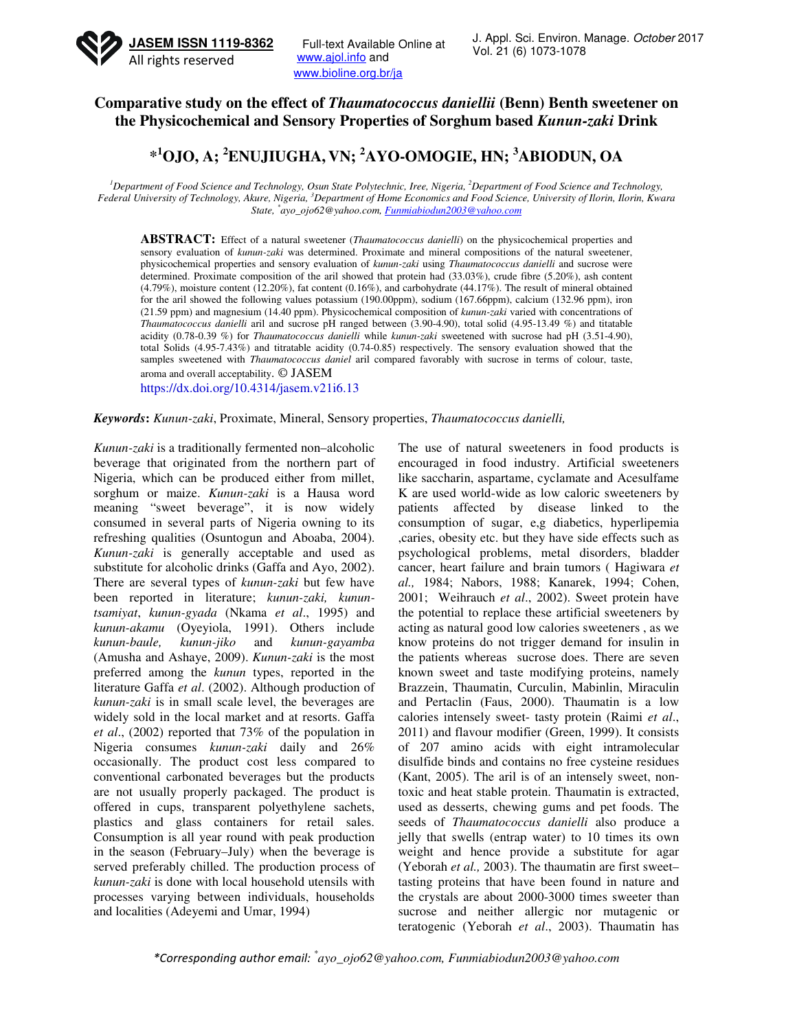

Full-text Available Online at www.ajol.info and www.bioline.org.br/ja

## **Comparative study on the effect of** *Thaumatococcus daniellii* **(Benn) Benth sweetener on the Physicochemical and Sensory Properties of Sorghum based** *Kunun-zaki* **Drink**

# **\* <sup>1</sup>OJO, A; <sup>2</sup>ENUJIUGHA, VN; <sup>2</sup>AYO-OMOGIE, HN; <sup>3</sup>ABIODUN, OA**

<sup>*1</sup>Department of Food Science and Technology, Osun State Polytechnic, Iree, Nigeria, <sup>2</sup><i>Department of Food Science and Technology,*</sup> *Federal University of Technology, Akure, Nigeria, <sup>3</sup>Department of Home Economics and Food Science, University of Ilorin, Ilorin, Kwara State, \* ayo\_ojo62@yahoo.com, Funmiabiodun2003@yahoo.com*

**ABSTRACT:** Effect of a natural sweetener (*Thaumatococcus danielli*) on the physicochemical properties and sensory evaluation of *kunun-zaki* was determined. Proximate and mineral compositions of the natural sweetener, physicochemical properties and sensory evaluation of *kunun-zaki* using *Thaumatococcus danielli* and sucrose were determined. Proximate composition of the aril showed that protein had (33.03%), crude fibre (5.20%), ash content (4.79%), moisture content (12.20%), fat content (0.16%), and carbohydrate (44.17%). The result of mineral obtained for the aril showed the following values potassium (190.00ppm), sodium (167.66ppm), calcium (132.96 ppm), iron (21.59 ppm) and magnesium (14.40 ppm). Physicochemical composition of *kunun-zaki* varied with concentrations of *Thaumatococcus danielli* aril and sucrose pH ranged between (3.90-4.90), total solid (4.95-13.49 %) and titatable acidity (0.78-0.39 %) for *Thaumatococcus danielli* while *kunun-zaki* sweetened with sucrose had pH (3.51-4.90), total Solids (4.95-7.43%) and titratable acidity (0.74-0.85) respectively. The sensory evaluation showed that the samples sweetened with *Thaumatococcus daniel* aril compared favorably with sucrose in terms of colour, taste, aroma and overall acceptability. © JASEM

https://dx.doi.org/10.4314/jasem.v21i6.13

#### *Keywords***:** *Kunun-zaki*, Proximate, Mineral, Sensory properties, *Thaumatococcus danielli,*

*Kunun-zaki* is a traditionally fermented non–alcoholic beverage that originated from the northern part of Nigeria, which can be produced either from millet, sorghum or maize. *Kunun-zaki* is a Hausa word meaning "sweet beverage", it is now widely consumed in several parts of Nigeria owning to its refreshing qualities (Osuntogun and Aboaba, 2004). *Kunun-zaki* is generally acceptable and used as substitute for alcoholic drinks (Gaffa and Ayo, 2002). There are several types of *kunun-zaki* but few have been reported in literature; *kunun-zaki, kununtsamiyat*, *kunun-gyada* (Nkama *et al*., 1995) and *kunun-akamu* (Oyeyiola, 1991). Others include *kunun-baule, kunun-jiko* and *kunun-gayamba*  (Amusha and Ashaye, 2009). *Kunun-zaki* is the most preferred among the *kunun* types, reported in the literature Gaffa *et al*. (2002). Although production of *kunun-zaki* is in small scale level, the beverages are widely sold in the local market and at resorts. Gaffa *et al*., (2002) reported that 73% of the population in Nigeria consumes *kunun-zaki* daily and 26% occasionally. The product cost less compared to conventional carbonated beverages but the products are not usually properly packaged. The product is offered in cups, transparent polyethylene sachets, plastics and glass containers for retail sales. Consumption is all year round with peak production in the season (February–July) when the beverage is served preferably chilled. The production process of *kunun-zaki* is done with local household utensils with processes varying between individuals, households and localities (Adeyemi and Umar, 1994)

The use of natural sweeteners in food products is encouraged in food industry. Artificial sweeteners like saccharin, aspartame, cyclamate and Acesulfame K are used world-wide as low caloric sweeteners by patients affected by disease linked to the consumption of sugar, e,g diabetics, hyperlipemia ,caries, obesity etc. but they have side effects such as psychological problems, metal disorders, bladder cancer, heart failure and brain tumors ( Hagiwara *et al.,* 1984; Nabors, 1988; Kanarek, 1994; Cohen, 2001; Weihrauch *et al*., 2002). Sweet protein have the potential to replace these artificial sweeteners by acting as natural good low calories sweeteners , as we know proteins do not trigger demand for insulin in the patients whereas sucrose does. There are seven known sweet and taste modifying proteins, namely Brazzein, Thaumatin, Curculin, Mabinlin, Miraculin and Pertaclin (Faus, 2000). Thaumatin is a low calories intensely sweet- tasty protein (Raimi *et al*., 2011) and flavour modifier (Green, 1999). It consists of 207 amino acids with eight intramolecular disulfide binds and contains no free cysteine residues (Kant, 2005). The aril is of an intensely sweet, nontoxic and heat stable protein. Thaumatin is extracted, used as desserts, chewing gums and pet foods. The seeds of *Thaumatococcus danielli* also produce a jelly that swells (entrap water) to 10 times its own weight and hence provide a substitute for agar (Yeborah *et al.,* 2003). The thaumatin are first sweet– tasting proteins that have been found in nature and the crystals are about 2000-3000 times sweeter than sucrose and neither allergic nor mutagenic or teratogenic (Yeborah *et al*., 2003). Thaumatin has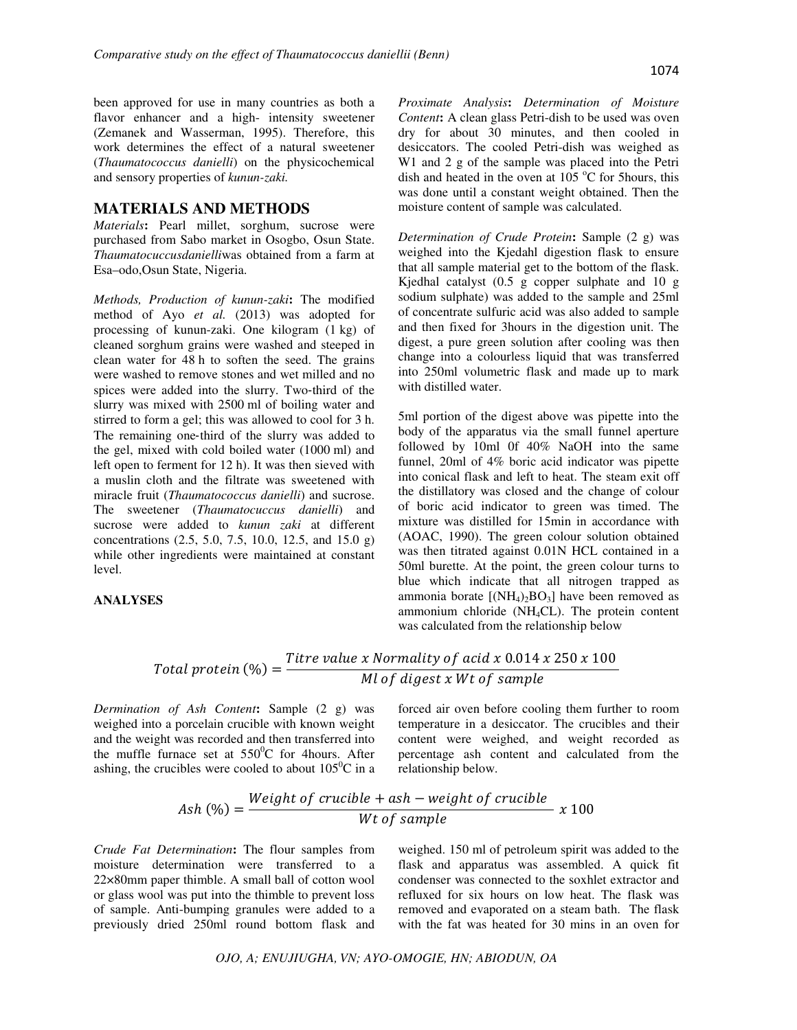been approved for use in many countries as both a flavor enhancer and a high- intensity sweetener (Zemanek and Wasserman, 1995). Therefore, this work determines the effect of a natural sweetener (*Thaumatococcus danielli*) on the physicochemical and sensory properties of *kunun-zaki.* 

## **MATERIALS AND METHODS**

*Materials***:** Pearl millet, sorghum, sucrose were purchased from Sabo market in Osogbo, Osun State. *Thaumatocuccusdanielli*was obtained from a farm at Esa–odo,Osun State, Nigeria.

*Methods, Production of kunun-zaki***:** The modified method of Ayo *et al.* (2013) was adopted for processing of kunun-zaki. One kilogram (1 kg) of cleaned sorghum grains were washed and steeped in clean water for 48 h to soften the seed. The grains were washed to remove stones and wet milled and no spices were added into the slurry. Two-third of the slurry was mixed with 2500 ml of boiling water and stirred to form a gel; this was allowed to cool for 3 h. The remaining one-third of the slurry was added to the gel, mixed with cold boiled water (1000 ml) and left open to ferment for 12 h). It was then sieved with a muslin cloth and the filtrate was sweetened with miracle fruit (*Thaumatococcus danielli*) and sucrose. The sweetener (*Thaumatocuccus danielli*) and sucrose were added to *kunun zaki* at different concentrations (2.5, 5.0, 7.5, 10.0, 12.5, and 15.0 g) while other ingredients were maintained at constant level.

#### **ANALYSES**

*Proximate Analysis***:** *Determination of Moisture Content***:** A clean glass Petri-dish to be used was oven dry for about 30 minutes, and then cooled in desiccators. The cooled Petri-dish was weighed as W1 and 2 g of the sample was placed into the Petri dish and heated in the oven at  $105\text{ °C}$  for 5hours, this was done until a constant weight obtained. Then the moisture content of sample was calculated.

*Determination of Crude Protein***:** Sample (2 g) was weighed into the Kjedahl digestion flask to ensure that all sample material get to the bottom of the flask. Kjedhal catalyst (0.5 g copper sulphate and 10 g sodium sulphate) was added to the sample and 25ml of concentrate sulfuric acid was also added to sample and then fixed for 3hours in the digestion unit. The digest, a pure green solution after cooling was then change into a colourless liquid that was transferred into 250ml volumetric flask and made up to mark with distilled water.

5ml portion of the digest above was pipette into the body of the apparatus via the small funnel aperture followed by 10ml 0f 40% NaOH into the same funnel, 20ml of 4% boric acid indicator was pipette into conical flask and left to heat. The steam exit off the distillatory was closed and the change of colour of boric acid indicator to green was timed. The mixture was distilled for 15min in accordance with (AOAC, 1990). The green colour solution obtained was then titrated against 0.01N HCL contained in a 50ml burette. At the point, the green colour turns to blue which indicate that all nitrogen trapped as ammonia borate  $[(NH_4)_2BO_3]$  have been removed as ammonium chloride (NH4CL). The protein content was calculated from the relationship below

#### Total protein (%)  $=$ Titre value x Normality of acid x 0.014 x 250 x 100 Ml of digest x Wt of sample

*Dermination of Ash Content***:** Sample (2 g) was weighed into a porcelain crucible with known weight and the weight was recorded and then transferred into the muffle furnace set at  $550^{\circ}$ C for 4hours. After ashing, the crucibles were cooled to about  $105^{\circ}$ C in a

forced air oven before cooling them further to room temperature in a desiccator. The crucibles and their content were weighed, and weight recorded as percentage ash content and calculated from the relationship below.

$$
Ash (%) = \frac{Weight \ of \ crucible + ash - weight \ of \ crucible}{Wt \ of \ sample} \ x \ 100
$$

*Crude Fat Determination***:** The flour samples from moisture determination were transferred to a 22×80mm paper thimble. A small ball of cotton wool or glass wool was put into the thimble to prevent loss of sample. Anti-bumping granules were added to a previously dried 250ml round bottom flask and

weighed. 150 ml of petroleum spirit was added to the flask and apparatus was assembled. A quick fit condenser was connected to the soxhlet extractor and refluxed for six hours on low heat. The flask was removed and evaporated on a steam bath. The flask with the fat was heated for 30 mins in an oven for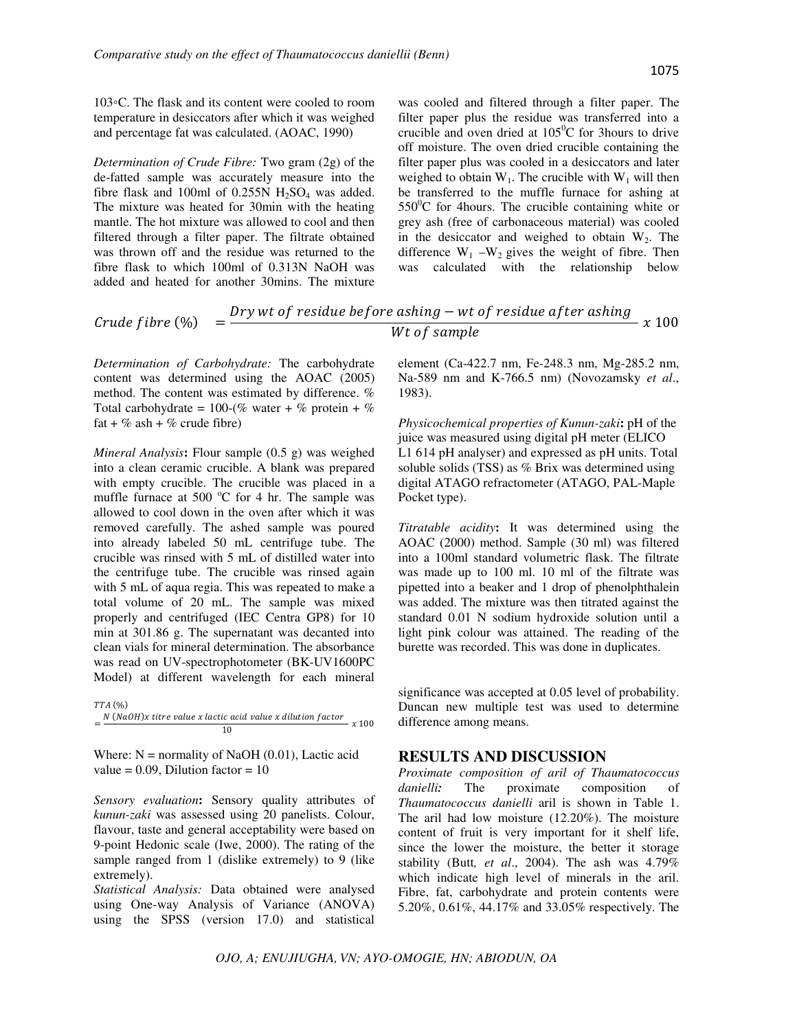103◦C. The flask and its content were cooled to room temperature in desiccators after which it was weighed and percentage fat was calculated. (AOAC, 1990)

*Determination of Crude Fibre:* Two gram (2g) of the de-fatted sample was accurately measure into the fibre flask and 100ml of  $0.255N H_2SO_4$  was added. The mixture was heated for 30min with the heating mantle. The hot mixture was allowed to cool and then filtered through a filter paper. The filtrate obtained was thrown off and the residue was returned to the fibre flask to which 100ml of 0.313N NaOH was added and heated for another 30mins. The mixture

was cooled and filtered through a filter paper. The filter paper plus the residue was transferred into a crucible and oven dried at  $105^{\circ}$ C for 3 hours to drive off moisture. The oven dried crucible containing the filter paper plus was cooled in a desiccators and later weighed to obtain  $W_1$ . The crucible with  $W_1$  will then be transferred to the muffle furnace for ashing at  $550^{\circ}$ C for 4 hours. The crucible containing white or grey ash (free of carbonaceous material) was cooled in the desiccator and weighed to obtain  $W_2$ . The difference  $W_1 - W_2$  gives the weight of fibre. Then was calculated with the relationship below

$$
Crude fibre (%) = \frac{Dry wt \ of residue before a ship - wt \ of residue after a ship}{Wt \ of sample} x 100
$$

*Determination of Carbohydrate:* The carbohydrate content was determined using the AOAC (2005) method. The content was estimated by difference. % Total carbohydrate =  $100-(\% \text{ water} + \% \text{ protein} + \% \text{)}$ fat + % ash + % crude fibre)

*Mineral Analysis***:** Flour sample (0.5 g) was weighed into a clean ceramic crucible. A blank was prepared with empty crucible. The crucible was placed in a muffle furnace at 500  $^{\circ}$ C for 4 hr. The sample was allowed to cool down in the oven after which it was removed carefully. The ashed sample was poured into already labeled 50 mL centrifuge tube. The crucible was rinsed with 5 mL of distilled water into the centrifuge tube. The crucible was rinsed again with 5 mL of aqua regia. This was repeated to make a total volume of 20 mL. The sample was mixed properly and centrifuged (IEC Centra GP8) for 10 min at 301.86 g. The supernatant was decanted into clean vials for mineral determination. The absorbance was read on UV-spectrophotometer (BK-UV1600PC Model) at different wavelength for each mineral

TTA (%)  $=\frac{N (NaOH)x$  titre value x lactic acid value x dilution factor<br>10

Where:  $N =$  normality of NaOH (0.01), Lactic acid value =  $0.09$ , Dilution factor =  $10$ 

*Sensory evaluation***:** Sensory quality attributes of *kunun-zaki* was assessed using 20 panelists. Colour, flavour, taste and general acceptability were based on 9-point Hedonic scale (Iwe, 2000). The rating of the sample ranged from 1 (dislike extremely) to 9 (like extremely).

*Statistical Analysis:* Data obtained were analysed using One-way Analysis of Variance (ANOVA) using the SPSS (version 17.0) and statistical

element (Ca-422.7 nm, Fe-248.3 nm, Mg-285.2 nm, Na-589 nm and K-766.5 nm) (Novozamsky *et al*., 1983).

*Physicochemical properties of Kunun-zaki***:** pH of the juice was measured using digital pH meter (ELICO L1 614 pH analyser) and expressed as pH units. Total soluble solids (TSS) as % Brix was determined using digital ATAGO refractometer (ATAGO, PAL-Maple Pocket type).

*Titratable acidity***:** It was determined using the AOAC (2000) method. Sample (30 ml) was filtered into a 100ml standard volumetric flask. The filtrate was made up to 100 ml. 10 ml of the filtrate was pipetted into a beaker and 1 drop of phenolphthalein was added. The mixture was then titrated against the standard 0.01 N sodium hydroxide solution until a light pink colour was attained. The reading of the burette was recorded. This was done in duplicates.

significance was accepted at 0.05 level of probability. Duncan new multiple test was used to determine difference among means.

## **RESULTS AND DISCUSSION**

*Proximate composition of aril of Thaumatococcus danielli***:** The proximate composition of *Thaumatococcus danielli* aril is shown in Table 1. The aril had low moisture (12.20%). The moisture content of fruit is very important for it shelf life, since the lower the moisture, the better it storage stability (Butt*, et al*., 2004). The ash was 4.79% which indicate high level of minerals in the aril. Fibre, fat, carbohydrate and protein contents were 5.20%, 0.61%, 44.17% and 33.05% respectively. The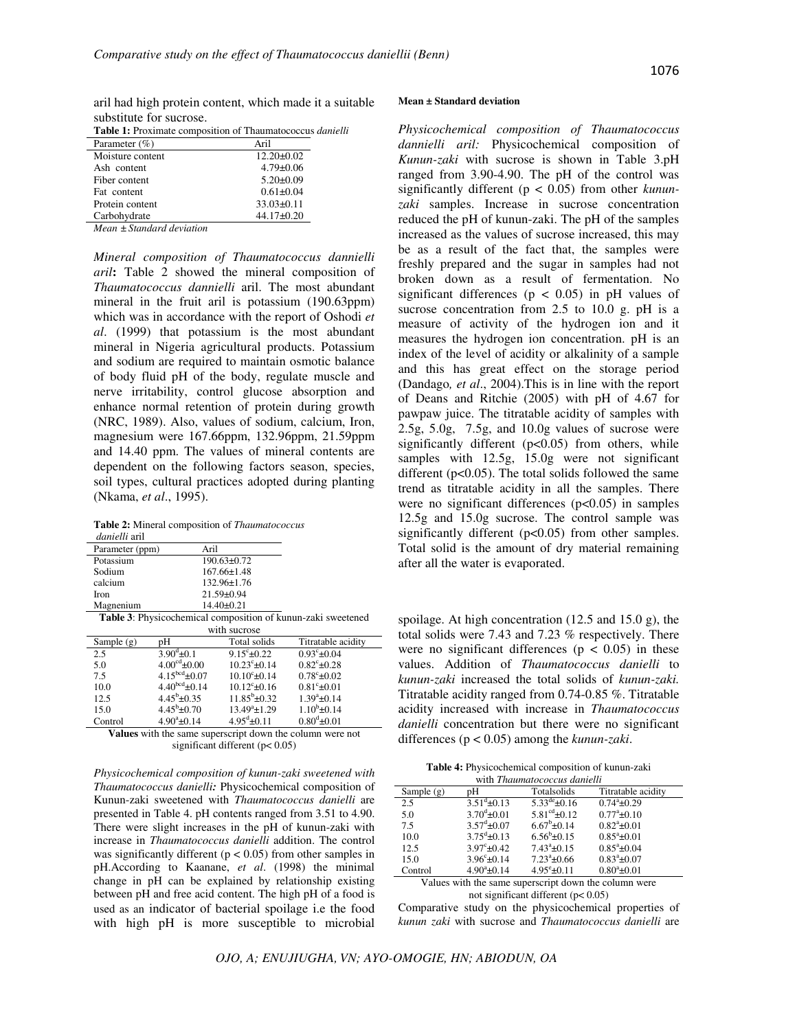aril had high protein content, which made it a suitable substitute for sucrose.

**Table 1:** Proximate composition of Thaumatococcus *danielli*

| Parameter $(\% )$         | Aril             |
|---------------------------|------------------|
| Moisture content          | $12.20 \pm 0.02$ |
| Ash content               | $4.79 \pm 0.06$  |
| Fiber content             | $5.20 \pm 0.09$  |
| Fat content               | $0.61 \pm 0.04$  |
| Protein content           | $33.03 \pm 0.11$ |
| Carbohydrate              | $44.17\pm0.20$   |
| Mean ± Standard deviation |                  |

*Mineral composition of Thaumatococcus dannielli aril***:** Table 2 showed the mineral composition of *Thaumatococcus dannielli* aril. The most abundant mineral in the fruit aril is potassium (190.63ppm) which was in accordance with the report of Oshodi *et al*. (1999) that potassium is the most abundant mineral in Nigeria agricultural products. Potassium and sodium are required to maintain osmotic balance of body fluid pH of the body, regulate muscle and nerve irritability, control glucose absorption and enhance normal retention of protein during growth (NRC, 1989). Also, values of sodium, calcium, Iron, magnesium were 167.66ppm, 132.96ppm, 21.59ppm and 14.40 ppm. The values of mineral contents are dependent on the following factors season, species, soil types, cultural practices adopted during planting (Nkama, *et al*., 1995).

**Table 2:** Mineral composition of *Thaumatococcus danielli* aril

| <i>uunivuu</i> am |                           |
|-------------------|---------------------------|
| Parameter (ppm)   | Aril                      |
| Potassium         | $190.63 \pm 0.72$         |
| Sodium            | $167.66 \pm 1.48$         |
| calcium           | 132.96±1.76               |
| Iron              | $21.59 \pm 0.94$          |
| Magnenium         | $14.40 \pm 0.21$          |
| - -<br>۰          | $\cdot$ .<br>$\mathbf{H}$ |

**Table 3**: Physicochemical composition of kunun-zaki sweetened with sucrose

| where success                                             |                           |                         |                       |
|-----------------------------------------------------------|---------------------------|-------------------------|-----------------------|
| Sample $(g)$                                              | pΗ                        | Total solids            | Titratable acidity    |
| 2.5                                                       | $3.90^{\text{d}} \pm 0.1$ | $9.15^{\circ}$ ± 0.22   | $0.93^{\circ}$ ± 0.04 |
| 5.0                                                       | $4.00^{\text{cd}}$ ±0.00  | $10.23^{\circ}$ ± 0.14  | $0.82^{\circ}$ ± 0.28 |
| 7.5                                                       | $4.15bcd \pm 0.07$        | $10.10^{\circ}$ ± 0.14  | $0.78^{\circ}$ ± 0.02 |
| 10.0                                                      | $4.40^{bcd}$ ± 0.14       | $10.12^{\circ}$ ±0.16   | $0.81^{\circ}$ ± 0.01 |
| 12.5                                                      | $4.45^{\rm b}$ ± 0.35     | $11.85^{\rm b}$ ± 0.32  | $1.39^a \pm 0.14$     |
| 15.0                                                      | $4.45^{\rm b}$ ± 0.70     | $13.49^a \pm 1.29$      | $1.10^{b}$ ± 0.14     |
| Control                                                   | $4.90^a \pm 0.14$         | $4.95^{\text{d}}$ ±0.11 | $0.80^4 \pm 0.01$     |
| Values with the same superscript down the solumn were not |                           |                         |                       |

**Values** with the same superscript down the column were not significant different ( $p$ < 0.05)

*Physicochemical composition of kunun-zaki sweetened with Thaumatococcus danielli:* Physicochemical composition of Kunun-zaki sweetened with *Thaumatococcus danielli* are presented in Table 4. pH contents ranged from 3.51 to 4.90. There were slight increases in the pH of kunun-zaki with increase in *Thaumatococcus danielli* addition. The control was significantly different ( $p < 0.05$ ) from other samples in pH.According to Kaanane, *et al*. (1998) the minimal change in pH can be explained by relationship existing between pH and free acid content. The high pH of a food is used as an indicator of bacterial spoilage i.e the food with high pH is more susceptible to microbial

#### **Mean ± Standard deviation**

*Physicochemical composition of Thaumatococcus dannielli aril:* Physicochemical composition of *Kunun-zaki* with sucrose is shown in Table 3.pH ranged from 3.90-4.90. The pH of the control was significantly different (p < 0.05) from other *kununzaki* samples. Increase in sucrose concentration reduced the pH of kunun-zaki. The pH of the samples increased as the values of sucrose increased, this may be as a result of the fact that, the samples were freshly prepared and the sugar in samples had not broken down as a result of fermentation. No significant differences ( $p < 0.05$ ) in pH values of sucrose concentration from 2.5 to 10.0 g. pH is a measure of activity of the hydrogen ion and it measures the hydrogen ion concentration. pH is an index of the level of acidity or alkalinity of a sample and this has great effect on the storage period (Dandago*, et al*., 2004).This is in line with the report of Deans and Ritchie (2005) with pH of 4.67 for pawpaw juice. The titratable acidity of samples with 2.5g, 5.0g, 7.5g, and 10.0g values of sucrose were significantly different (p<0.05) from others, while samples with 12.5g, 15.0g were not significant different ( $p<0.05$ ). The total solids followed the same trend as titratable acidity in all the samples. There were no significant differences (p<0.05) in samples 12.5g and 15.0g sucrose. The control sample was significantly different (p<0.05) from other samples. Total solid is the amount of dry material remaining after all the water is evaporated.

spoilage. At high concentration (12.5 and 15.0 g), the total solids were 7.43 and 7.23 % respectively. There were no significant differences ( $p < 0.05$ ) in these values. Addition of *Thaumatococcus danielli* to *kunun-zaki* increased the total solids of *kunun-zaki.*  Titratable acidity ranged from 0.74-0.85 %. Titratable acidity increased with increase in *Thaumatococcus danielli* concentration but there were no significant differences (p < 0.05) among the *kunun-zaki*.

**Table 4:** Physicochemical composition of kunun-zaki

| with <i>Thaumatococcus danielli</i>                   |                            |                             |                           |
|-------------------------------------------------------|----------------------------|-----------------------------|---------------------------|
| Sample $(g)$                                          | Titratable acidity         |                             |                           |
| 2.5                                                   | $3.51^{\text{d}} \pm 0.13$ | $5.33^{\text{de}} \pm 0.16$ | $0.74^a \pm 0.29$         |
| 5.0                                                   | $3.70^{d}$ ± 0.01          | $5.81^{\text{cd}}$ ±0.12    | $0.77^{\mathrm{a}}$ ±0.10 |
| 7.5                                                   | $3.57^{\mathrm{d}}$ ±0.07  | $6.67^b \pm 0.14$           | $0.82^{\circ}$ ±0.01      |
| 10.0                                                  | $3.75^{\text{d}}$ ±0.13    | $6.56^b \pm 0.15$           | $0.85^{\circ}$ ±0.01      |
| 12.5                                                  | $3.97^{\circ}$ ± 0.42      | $7.43^{\circ}$ ±0.15        | $0.85^{\circ}$ ±0.04      |
| 15.0                                                  | $3.96^{\circ}$ ±0.14       | $7.23^{\circ}$ ±0.66        | $0.83^{\circ}$ ±0.07      |
| Control                                               | $4.90^a \pm 0.14$          | $4.95^{\circ}$ ±0.11        | $0.80^a \pm 0.01$         |
| Values with the same superscript down the column were |                            |                             |                           |

Values with the same superscript down the column were not significant different (p< 0.05)

Comparative study on the physicochemical properties of *kunun zaki* with sucrose and *Thaumatococcus danielli* are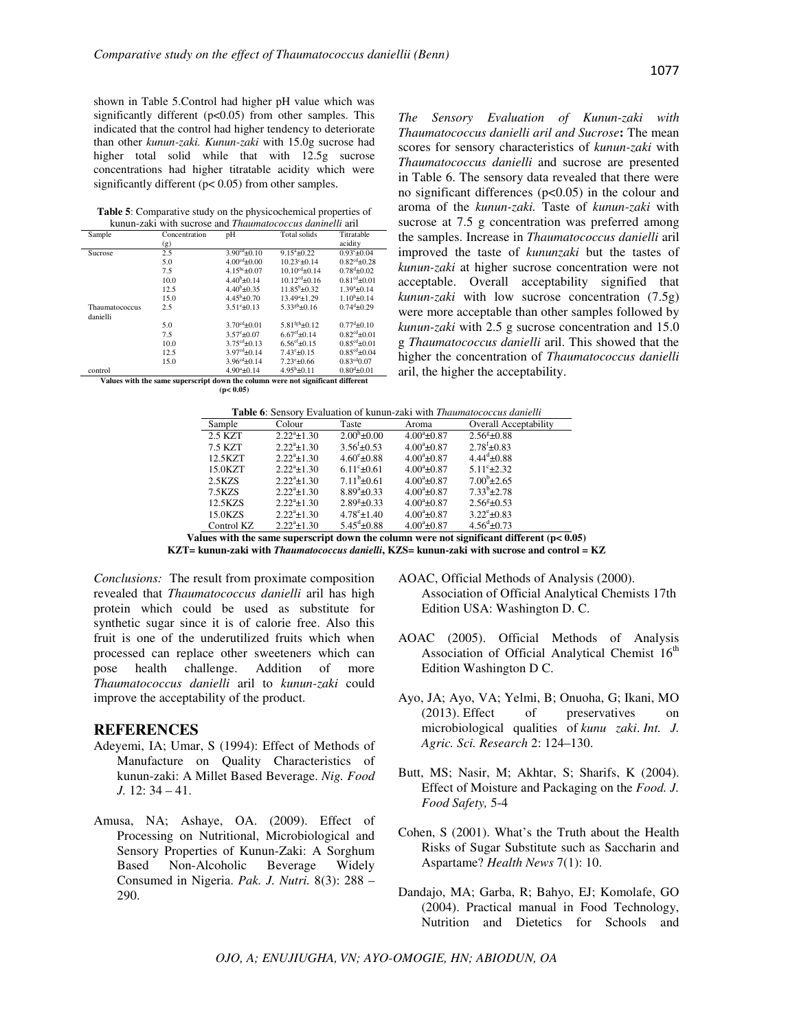shown in Table 5.Control had higher pH value which was significantly different (p<0.05) from other samples. This indicated that the control had higher tendency to deteriorate than other *kunun-zaki. Kunun-zaki* with 15.0g sucrose had higher total solid while that with 12.5g sucrose concentrations had higher titratable acidity which were significantly different ( $p$ < 0.05) from other samples.

**Table 5**: Comparative study on the physicochemical properties of kunun-zaki with sucrose and *Thaumatococcus daninelli* aril

| Sample                                                                          | Concentration | pH                        | <b>Total solids</b>        | Titratable               |
|---------------------------------------------------------------------------------|---------------|---------------------------|----------------------------|--------------------------|
|                                                                                 | (g)           |                           |                            | acidity                  |
| Sucrose                                                                         | 2.5           | $3.90cd \pm 0.10$         | $9.15^{\mathrm{a}}\pm0.22$ | $0.93^{\circ}+0.04$      |
|                                                                                 | 5.0           | $4.00cd + 0.00$           | $10.23^{\circ}+0.14$       | $0.82cd+0.28$            |
|                                                                                 | 7.5           | $4.15^{bc} + 0.07$        | $10.10^{cd} + 0.14$        | $0.78^{d} + 0.02$        |
|                                                                                 | 10.0          | $4.40^{b} + 0.14$         | $10.12^{cd} + 0.16$        | $0.81cd + 0.01$          |
|                                                                                 | 12.5          | $4.40^b + 0.35$           | $11.85^{b}+0.32$           | $1.39^{a}+0.14$          |
|                                                                                 | 15.0          | $4.45^b + 0.70$           | $13.49^a + 1.29$           | $1.10^{b} + 0.14$        |
| Thaumatococcus                                                                  | 2.5           | $3.51^{\circ}+0.13$       | $5.33^{gh}$ + 0.16         | $0.74^{d}$ ±0.29         |
| danielli                                                                        |               |                           |                            |                          |
|                                                                                 | 5.0           | $3.70^{\text{cd}} + 0.01$ | $5.81fgh+0.12$             | $0.77^{d}$ + 0.10        |
|                                                                                 | 7.5           | $3.57^{\circ}+0.07$       | $6.67^{ef}$ + 0.14         | $0.82^{cd} + 0.01$       |
|                                                                                 | 10.0          | $3.75^{\text{cd}} + 0.13$ | $6.56^{ef}$ + 0.15         | $0.85^{cd} + 0.01$       |
|                                                                                 | 12.5          | $3.97cd+0.14$             | $7.43^{\circ}$ ±0.15       | $0.85^{\text{cd}}$ ±0.04 |
|                                                                                 | 15.0          | $3.96^{cd}+0.14$          | $7.23^{\circ}+0.66$        | $0.83^{cd}0.07$          |
| control                                                                         |               | $4.90^a + 0.14$           | $4.95^{\rm h}+0.11$        | $0.80^{d}$ ±0.01         |
| Values with the same superscript down the column were not significant different |               |                           |                            |                          |
|                                                                                 |               | (p < 0.05)                |                            |                          |

*The Sensory Evaluation of Kunun-zaki with Thaumatococcus danielli aril and Sucrose***:** The mean scores for sensory characteristics of *kunun-zaki* with *Thaumatococcus danielli* and sucrose are presented in Table 6. The sensory data revealed that there were no significant differences  $(p<0.05)$  in the colour and aroma of the *kunun-zaki.* Taste of *kunun-zaki* with sucrose at 7.5 g concentration was preferred among the samples. Increase in *Thaumatococcus danielli* aril improved the taste of *kununzaki* but the tastes of *kunun-zaki* at higher sucrose concentration were not acceptable. Overall acceptability signified that *kunun-zaki* with low sucrose concentration (7.5g) were more acceptable than other samples followed by *kunun-zaki* with 2.5 g sucrose concentration and 15.0 g *Thaumatococcus danielli* aril. This showed that the higher the concentration of *Thaumatococcus danielli* aril, the higher the acceptability.

| <b>Table 6:</b> Sensory Evaluation of kunun-zaki with <i>Thaumatococcus danielli</i> |                      |                              |                       |                          |
|--------------------------------------------------------------------------------------|----------------------|------------------------------|-----------------------|--------------------------|
| Sample                                                                               | Colour               | Taste                        | Aroma                 | Overall Acceptability    |
| 2.5 KZT                                                                              | $2.22^a \pm 1.30$    | $2.00^{\rm h}$ ± 0.00        | $4.00^a \pm 0.87$     | $2.56^{\text{g}}$ ±0.88  |
| 7.5 KZT                                                                              | $2.22^a \pm 1.30$    | $3.56^{\mathrm{t}} \pm 0.53$ | $4.00^a \pm 0.87$     | $2.78^{f}$ ± 0.83        |
| 12.5KZT                                                                              | $2.22^{\circ}$ ±1.30 | $4.60^{\circ}$ ± 0.88        | $4.00^{\circ}$ ± 0.87 | $4.44^{\rm d}$ ± 0.88    |
| 15.0KZT                                                                              | $2.22^{\circ}$ ±1.30 | $6.11^{\circ}$ ± 0.61        | $4.00^{\circ}$ ± 0.87 | $5.11^{\circ}$ ± 2.32    |
| 2.5KZS                                                                               | $2.22^{\circ}$ ±1.30 | $7.11^b \pm 0.61$            | $4.00^{\circ}$ ± 0.87 | $7.00^{b}$ ±2.65         |
| 7.5KZS                                                                               | $2.22^{\circ}$ ±1.30 | $8.89^{\circ}$ + 0.33        | $4.00^{\circ}$ ± 0.87 | $7.33^{b}$ $\pm 2.78$    |
| 12.5KZS                                                                              | $2.22^{\circ}$ ±1.30 | $2.89^{\text{g}}$ +0.33      | $4.00^{\circ}$ ± 0.87 | $2.56^{\text{g}}$ + 0.53 |
| 15.0KZS                                                                              | $2.22^{\circ}$ ±1.30 | $4.78^{\circ}$ ± 1.40        | $4.00^{\circ}$ ± 0.87 | $3.22^{\circ}$ ± 0.83    |
| Control KZ                                                                           | $2.22^a \pm 1.30$    | $5.45^{\text{d}}$ ±0.88      | $4.00^{\circ}$ ±0.87  | $4.56^{\rm d}$ ±0.73     |
|                                                                                      |                      |                              |                       |                          |

Values with the same superscript down the column were not significant different  $(p < 0.05)$ **KZT= kunun-zaki with** *Thaumatococcus danielli***, KZS= kunun-zaki with sucrose and control = KZ** 

*Conclusions:* The result from proximate composition revealed that *Thaumatococcus danielli* aril has high protein which could be used as substitute for synthetic sugar since it is of calorie free. Also this fruit is one of the underutilized fruits which when processed can replace other sweeteners which can<br>pose health challenge. Addition of more health challenge. Addition of more *Thaumatococcus danielli* aril to *kunun-zaki* could improve the acceptability of the product.

## **REFERENCES**

- Adeyemi, IA; Umar, S (1994): Effect of Methods of Manufacture on Quality Characteristics of kunun-zaki: A Millet Based Beverage. *Nig. Food J.* 12: 34 – 41.
- Amusa, NA; Ashaye, OA. (2009). Effect of Processing on Nutritional, Microbiological and Sensory Properties of Kunun-Zaki: A Sorghum Based Non-Alcoholic Beverage Widely Consumed in Nigeria. *Pak. J. Nutri.* 8(3): 288 – 290.
- AOAC, Official Methods of Analysis (2000). Association of Official Analytical Chemists 17th Edition USA: Washington D. C.
- AOAC (2005). Official Methods of Analysis Association of Official Analytical Chemist 16<sup>th</sup> Edition Washington D C.
- Ayo, JA; Ayo, VA; Yelmi, B; Onuoha, G; Ikani, MO (2013). Effect of preservatives on microbiological qualities of *kunu zaki*. *Int. J. Agric. Sci. Research* 2: 124–130.
- Butt, MS; Nasir, M; Akhtar, S; Sharifs, K (2004). Effect of Moisture and Packaging on the *Food. J. Food Safety,* 5-4
- Cohen, S (2001). What's the Truth about the Health Risks of Sugar Substitute such as Saccharin and Aspartame? *Health News* 7(1): 10.
- Dandajo, MA; Garba, R; Bahyo, EJ; Komolafe, GO (2004). Practical manual in Food Technology, Nutrition and Dietetics for Schools and